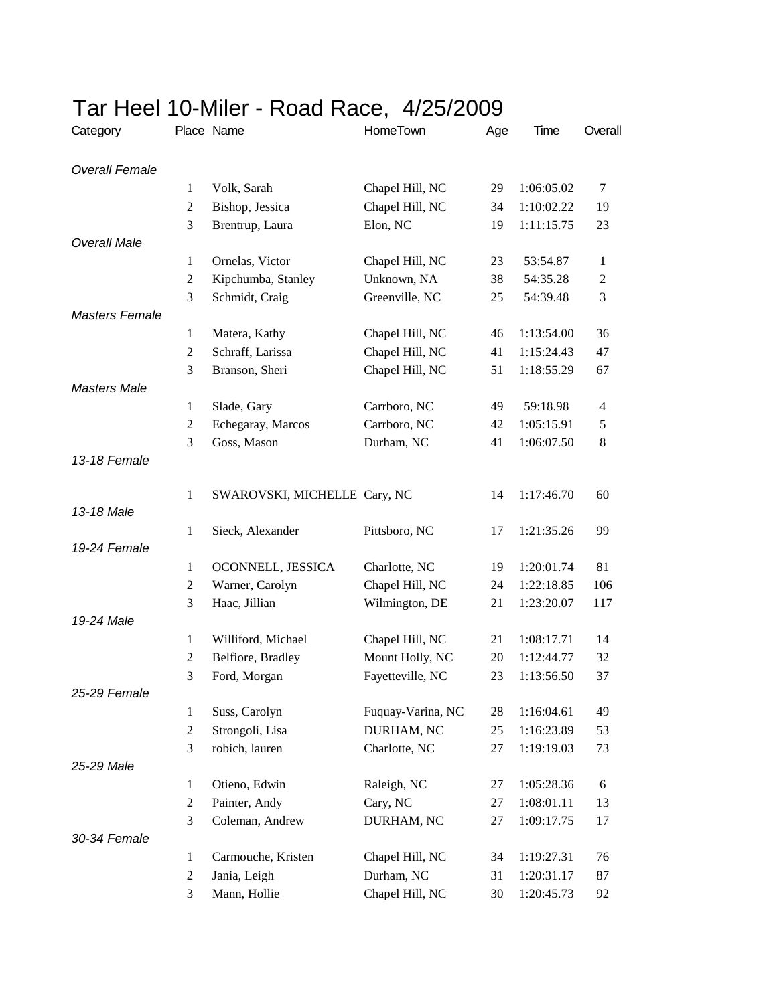| Category              |                  | Place Name                   | HomeTown          | Age | Time       | Overall        |
|-----------------------|------------------|------------------------------|-------------------|-----|------------|----------------|
| <b>Overall Female</b> |                  |                              |                   |     |            |                |
|                       | 1                | Volk, Sarah                  | Chapel Hill, NC   | 29  | 1:06:05.02 | $\tau$         |
|                       | $\overline{2}$   | Bishop, Jessica              | Chapel Hill, NC   | 34  | 1:10:02.22 | 19             |
|                       | 3                | Brentrup, Laura              | Elon, NC          | 19  | 1:11:15.75 | 23             |
| <b>Overall Male</b>   |                  |                              |                   |     |            |                |
|                       | $\mathbf{1}$     | Ornelas, Victor              | Chapel Hill, NC   | 23  | 53:54.87   | $\mathbf{1}$   |
|                       | $\mathfrak{2}$   | Kipchumba, Stanley           | Unknown, NA       | 38  | 54:35.28   | $\overline{c}$ |
|                       | 3                | Schmidt, Craig               | Greenville, NC    | 25  | 54:39.48   | 3              |
| <b>Masters Female</b> |                  |                              |                   |     |            |                |
|                       | $\mathbf{1}$     | Matera, Kathy                | Chapel Hill, NC   | 46  | 1:13:54.00 | 36             |
|                       | $\sqrt{2}$       | Schraff, Larissa             | Chapel Hill, NC   | 41  | 1:15:24.43 | 47             |
|                       | 3                | Branson, Sheri               | Chapel Hill, NC   | 51  | 1:18:55.29 | 67             |
| <b>Masters Male</b>   |                  |                              |                   |     |            |                |
|                       | $\mathbf{1}$     | Slade, Gary                  | Carrboro, NC      | 49  | 59:18.98   | 4              |
|                       | $\boldsymbol{2}$ | Echegaray, Marcos            | Carrboro, NC      | 42  | 1:05:15.91 | $\mathfrak s$  |
|                       | 3                | Goss, Mason                  | Durham, NC        | 41  | 1:06:07.50 | 8              |
| 13-18 Female          |                  |                              |                   |     |            |                |
|                       | $\mathbf{1}$     | SWAROVSKI, MICHELLE Cary, NC |                   | 14  | 1:17:46.70 | 60             |
| 13-18 Male            |                  |                              |                   |     |            |                |
|                       | 1                | Sieck, Alexander             | Pittsboro, NC     | 17  | 1:21:35.26 | 99             |
| 19-24 Female          |                  |                              |                   |     |            |                |
|                       | $\mathbf{1}$     | OCONNELL, JESSICA            | Charlotte, NC     | 19  | 1:20:01.74 | 81             |
|                       | $\overline{2}$   | Warner, Carolyn              | Chapel Hill, NC   | 24  | 1:22:18.85 | 106            |
|                       | 3                | Haac, Jillian                | Wilmington, DE    | 21  | 1:23:20.07 | 117            |
| 19-24 Male            |                  |                              |                   |     |            |                |
|                       | $\mathbf{1}$     | Williford, Michael           | Chapel Hill, NC   | 21  | 1:08:17.71 | 14             |
|                       | $\overline{c}$   | Belfiore, Bradley            | Mount Holly, NC   | 20  | 1:12:44.77 | 32             |
|                       | 3                | Ford, Morgan                 | Fayetteville, NC  | 23  | 1:13:56.50 | 37             |
| 25-29 Female          |                  |                              |                   |     |            |                |
|                       | $\mathbf{1}$     | Suss, Carolyn                | Fuquay-Varina, NC | 28  | 1:16:04.61 | 49             |
|                       | $\sqrt{2}$       | Strongoli, Lisa              | DURHAM, NC        | 25  | 1:16:23.89 | 53             |
|                       | 3                | robich, lauren               | Charlotte, NC     | 27  | 1:19:19.03 | 73             |
| 25-29 Male            |                  |                              |                   |     |            |                |
|                       | $\mathbf{1}$     | Otieno, Edwin                | Raleigh, NC       | 27  | 1:05:28.36 | 6              |
|                       | $\overline{c}$   | Painter, Andy                | Cary, NC          | 27  | 1:08:01.11 | 13             |
|                       | 3                | Coleman, Andrew              | DURHAM, NC        | 27  | 1:09:17.75 | 17             |
| 30-34 Female          |                  |                              |                   |     |            |                |
|                       | $\mathbf{1}$     | Carmouche, Kristen           | Chapel Hill, NC   | 34  | 1:19:27.31 | 76             |
|                       | $\overline{2}$   | Jania, Leigh                 | Durham, NC        | 31  | 1:20:31.17 | 87             |
|                       | 3                | Mann, Hollie                 | Chapel Hill, NC   | 30  | 1:20:45.73 | 92             |

## Tar Heel 10-Miler - Road Race, 4/25/2009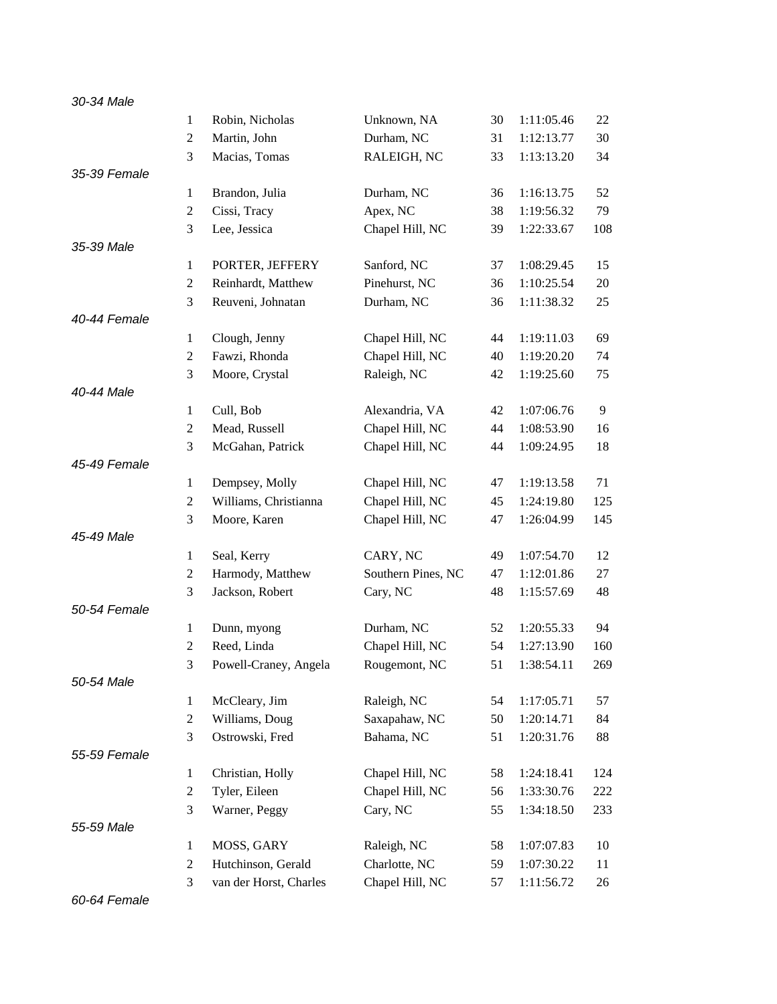| 30-34 Male   |                |                                         |                                    |          |                          |     |
|--------------|----------------|-----------------------------------------|------------------------------------|----------|--------------------------|-----|
|              | $\mathbf{1}$   | Robin, Nicholas                         | Unknown, NA                        | 30       | 1:11:05.46               | 22  |
|              | $\overline{2}$ | Martin, John                            | Durham, NC                         | 31       | 1:12:13.77               | 30  |
|              | 3              | Macias, Tomas                           | RALEIGH, NC                        | 33       | 1:13:13.20               | 34  |
| 35-39 Female |                |                                         |                                    |          |                          |     |
|              | 1              | Brandon, Julia                          | Durham, NC                         | 36       | 1:16:13.75               | 52  |
|              | $\overline{2}$ | Cissi, Tracy                            | Apex, NC                           | 38       | 1:19:56.32               | 79  |
|              | 3              | Lee, Jessica                            | Chapel Hill, NC                    | 39       | 1:22:33.67               | 108 |
| 35-39 Male   |                |                                         |                                    |          |                          |     |
|              | $\mathbf{1}$   | PORTER, JEFFERY                         | Sanford, NC                        | 37       | 1:08:29.45               | 15  |
|              | 2              | Reinhardt, Matthew                      | Pinehurst, NC                      | 36       | 1:10:25.54               | 20  |
|              | 3              | Reuveni, Johnatan                       | Durham, NC                         | 36       | 1:11:38.32               | 25  |
| 40-44 Female |                |                                         |                                    |          |                          |     |
|              | $\mathbf{1}$   | Clough, Jenny                           | Chapel Hill, NC                    | 44       | 1:19:11.03               | 69  |
|              | 2              | Fawzi, Rhonda                           | Chapel Hill, NC                    | 40       | 1:19:20.20               | 74  |
|              | 3              | Moore, Crystal                          | Raleigh, NC                        | 42       | 1:19:25.60               | 75  |
| 40-44 Male   |                |                                         |                                    |          |                          |     |
|              | $\mathbf{1}$   | Cull, Bob                               | Alexandria, VA                     | 42       | 1:07:06.76               | 9   |
|              | 2              | Mead, Russell                           | Chapel Hill, NC                    | 44       | 1:08:53.90               | 16  |
| 45-49 Female | 3              | McGahan, Patrick                        | Chapel Hill, NC                    | 44       | 1:09:24.95               | 18  |
|              |                |                                         |                                    |          |                          | 71  |
|              | 1<br>2         | Dempsey, Molly<br>Williams, Christianna | Chapel Hill, NC<br>Chapel Hill, NC | 47<br>45 | 1:19:13.58<br>1:24:19.80 | 125 |
|              | 3              | Moore, Karen                            | Chapel Hill, NC                    | 47       | 1:26:04.99               | 145 |
| 45-49 Male   |                |                                         |                                    |          |                          |     |
|              | $\mathbf{1}$   | Seal, Kerry                             | CARY, NC                           | 49       | 1:07:54.70               | 12  |
|              | 2              | Harmody, Matthew                        | Southern Pines, NC                 | 47       | 1:12:01.86               | 27  |
|              | 3              | Jackson, Robert                         | Cary, NC                           | 48       | 1:15:57.69               | 48  |
| 50-54 Female |                |                                         |                                    |          |                          |     |
|              | 1              | Dunn, myong                             | Durham, NC                         | 52       | 1:20:55.33               | 94  |
|              | 2              | Reed, Linda                             | Chapel Hill, NC                    | 54       | 1:27:13.90               | 160 |
|              | 3              | Powell-Craney, Angela                   | Rougemont, NC                      | 51       | 1:38:54.11               | 269 |
| 50-54 Male   |                |                                         |                                    |          |                          |     |
|              | 1              | McCleary, Jim                           | Raleigh, NC                        | 54       | 1:17:05.71               | 57  |
|              | $\mathfrak{2}$ | Williams, Doug                          | Saxapahaw, NC                      | 50       | 1:20:14.71               | 84  |
|              | 3              | Ostrowski, Fred                         | Bahama, NC                         | 51       | 1:20:31.76               | 88  |
| 55-59 Female |                |                                         |                                    |          |                          |     |
|              | 1              | Christian, Holly                        | Chapel Hill, NC                    | 58       | 1:24:18.41               | 124 |
|              | $\overline{2}$ | Tyler, Eileen                           | Chapel Hill, NC                    | 56       | 1:33:30.76               | 222 |
|              | 3              | Warner, Peggy                           | Cary, NC                           | 55       | 1:34:18.50               | 233 |
| 55-59 Male   |                |                                         |                                    |          |                          |     |
|              | 1              | MOSS, GARY                              | Raleigh, NC                        | 58       | 1:07:07.83               | 10  |
|              | $\mathfrak{2}$ | Hutchinson, Gerald                      | Charlotte, NC                      | 59       | 1:07:30.22               | 11  |
|              | 3              | van der Horst, Charles                  | Chapel Hill, NC                    | 57       | 1:11:56.72               | 26  |

*60-64 Female*